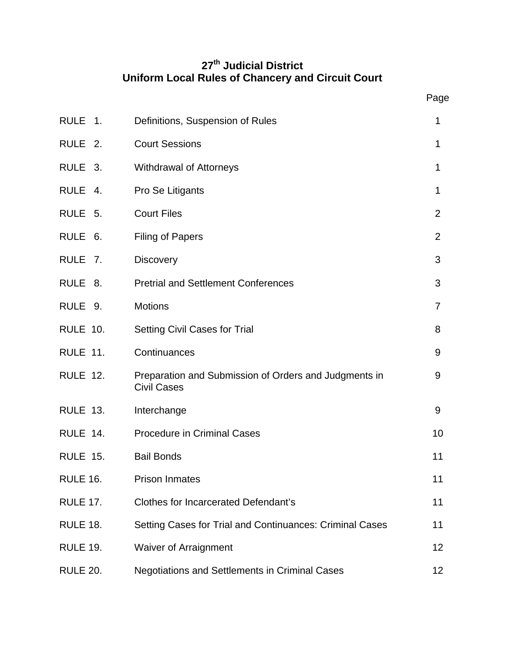# **27th Judicial District Uniform Local Rules of Chancery and Circuit Court**

|                     |                                                                             | ∽ບ             |
|---------------------|-----------------------------------------------------------------------------|----------------|
| RULE 1.             | Definitions, Suspension of Rules                                            | $\mathbf{1}$   |
| RULE 2.             | <b>Court Sessions</b>                                                       | 1              |
| RULE 3.             | <b>Withdrawal of Attorneys</b>                                              | 1              |
| RULE 4.             | Pro Se Litigants                                                            | 1              |
| RULE <sub>5</sub> . | <b>Court Files</b>                                                          | $\overline{2}$ |
| RULE 6.             | <b>Filing of Papers</b>                                                     | 2              |
| RULE 7.             | <b>Discovery</b>                                                            | 3              |
| RULE 8.             | <b>Pretrial and Settlement Conferences</b>                                  | 3              |
| RULE <sub>9.</sub>  | <b>Motions</b>                                                              | $\overline{7}$ |
| <b>RULE 10.</b>     | <b>Setting Civil Cases for Trial</b>                                        | 8              |
| <b>RULE 11.</b>     | Continuances                                                                | 9              |
| <b>RULE 12.</b>     | Preparation and Submission of Orders and Judgments in<br><b>Civil Cases</b> | 9              |
| <b>RULE 13.</b>     | Interchange                                                                 | 9              |
| RULE 14.            | <b>Procedure in Criminal Cases</b>                                          | 10             |
| <b>RULE 15.</b>     | <b>Bail Bonds</b>                                                           | 11             |
| <b>RULE 16.</b>     | <b>Prison Inmates</b>                                                       | 11             |
| <b>RULE 17.</b>     | <b>Clothes for Incarcerated Defendant's</b>                                 | 11             |
| <b>RULE 18.</b>     | Setting Cases for Trial and Continuances: Criminal Cases                    | 11             |
| <b>RULE 19.</b>     | <b>Waiver of Arraignment</b>                                                | 12             |
| <b>RULE 20.</b>     | Negotiations and Settlements in Criminal Cases                              | 12             |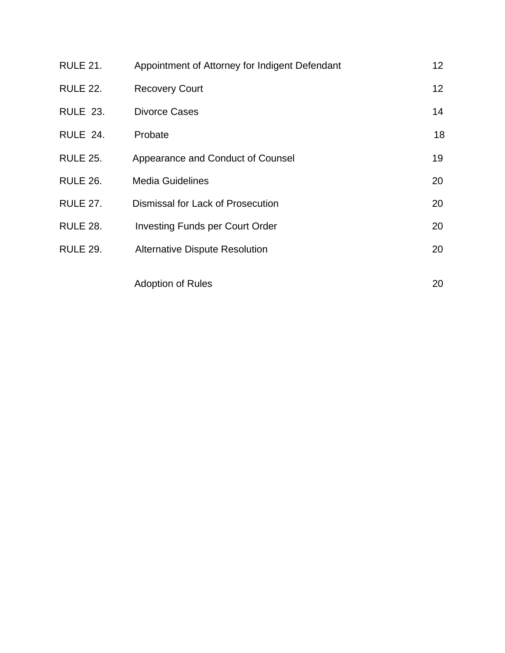| <b>RULE 21.</b> | Appointment of Attorney for Indigent Defendant | 12 |
|-----------------|------------------------------------------------|----|
| <b>RULE 22.</b> | <b>Recovery Court</b>                          | 12 |
| <b>RULE 23.</b> | <b>Divorce Cases</b>                           | 14 |
| RULE 24.        | Probate                                        | 18 |
| <b>RULE 25.</b> | Appearance and Conduct of Counsel              | 19 |
| <b>RULE 26.</b> | <b>Media Guidelines</b>                        | 20 |
| <b>RULE 27.</b> | Dismissal for Lack of Prosecution              | 20 |
| <b>RULE 28.</b> | <b>Investing Funds per Court Order</b>         | 20 |
| <b>RULE 29.</b> | <b>Alternative Dispute Resolution</b>          | 20 |
|                 | <b>Adoption of Rules</b>                       | 20 |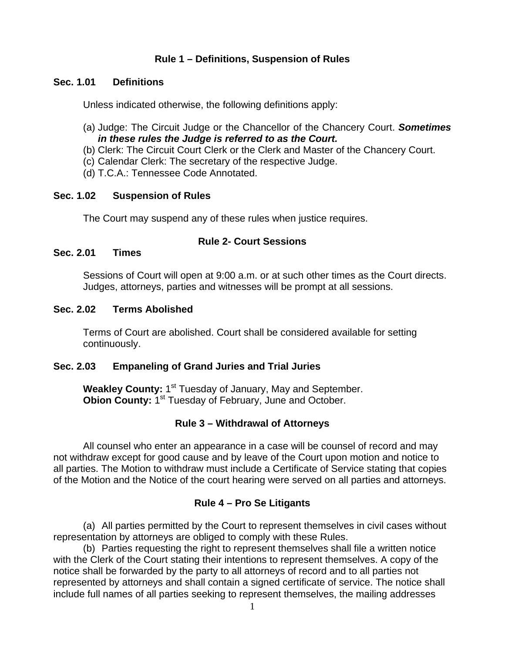## **Rule 1 – Definitions, Suspension of Rules**

## **Sec. 1.01 Definitions**

Unless indicated otherwise, the following definitions apply:

- (a) Judge: The Circuit Judge or the Chancellor of the Chancery Court. *Sometimes in these rules the Judge is referred to as the Court.*
- (b) Clerk: The Circuit Court Clerk or the Clerk and Master of the Chancery Court.
- (c) Calendar Clerk: The secretary of the respective Judge.
- (d) T.C.A.: Tennessee Code Annotated.

#### **Sec. 1.02 Suspension of Rules**

The Court may suspend any of these rules when justice requires.

#### **Rule 2- Court Sessions**

#### **Sec. 2.01 Times**

Sessions of Court will open at 9:00 a.m. or at such other times as the Court directs. Judges, attorneys, parties and witnesses will be prompt at all sessions.

#### **Sec. 2.02 Terms Abolished**

Terms of Court are abolished. Court shall be considered available for setting continuously.

### **Sec. 2.03 Empaneling of Grand Juries and Trial Juries**

**Weakley County: 1<sup>st</sup> Tuesday of January, May and September. Obion County: 1st Tuesday of February, June and October.** 

### **Rule 3 – Withdrawal of Attorneys**

All counsel who enter an appearance in a case will be counsel of record and may not withdraw except for good cause and by leave of the Court upon motion and notice to all parties. The Motion to withdraw must include a Certificate of Service stating that copies of the Motion and the Notice of the court hearing were served on all parties and attorneys.

### **Rule 4 – Pro Se Litigants**

(a) All parties permitted by the Court to represent themselves in civil cases without representation by attorneys are obliged to comply with these Rules.

(b) Parties requesting the right to represent themselves shall file a written notice with the Clerk of the Court stating their intentions to represent themselves. A copy of the notice shall be forwarded by the party to all attorneys of record and to all parties not represented by attorneys and shall contain a signed certificate of service. The notice shall include full names of all parties seeking to represent themselves, the mailing addresses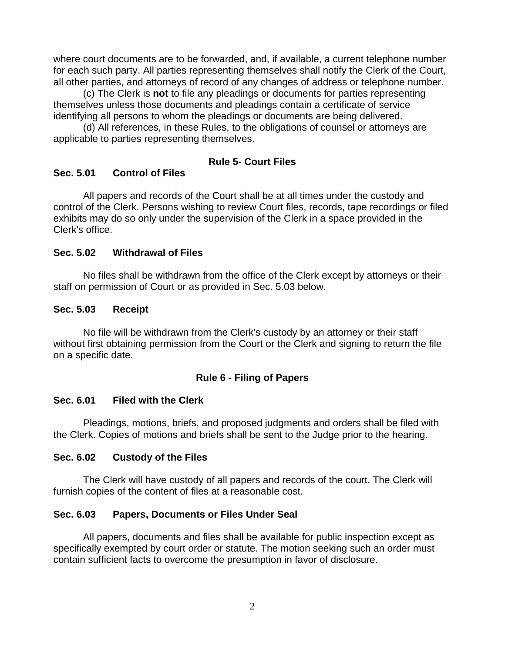where court documents are to be forwarded, and, if available, a current telephone number for each such party. All parties representing themselves shall notify the Clerk of the Court, all other parties, and attorneys of record of any changes of address or telephone number.

(c) The Clerk is **not** to file any pleadings or documents for parties representing themselves unless those documents and pleadings contain a certificate of service identifying all persons to whom the pleadings or documents are being delivered.

(d) All references, in these Rules, to the obligations of counsel or attorneys are applicable to parties representing themselves.

## **Rule 5- Court Files**

# **Sec. 5.01 Control of Files**

All papers and records of the Court shall be at all times under the custody and control of the Clerk. Persons wishing to review Court files, records, tape recordings or filed exhibits may do so only under the supervision of the Clerk in a space provided in the Clerk's office.

### **Sec. 5.02 Withdrawal of Files**

No files shall be withdrawn from the office of the Clerk except by attorneys or their staff on permission of Court or as provided in Sec. 5.03 below.

#### **Sec. 5.03 Receipt**

No file will be withdrawn from the Clerk's custody by an attorney or their staff without first obtaining permission from the Court or the Clerk and signing to return the file on a specific date.

### **Rule 6 - Filing of Papers**

### **Sec. 6.01 Filed with the Clerk**

Pleadings, motions, briefs, and proposed judgments and orders shall be filed with the Clerk. Copies of motions and briefs shall be sent to the Judge prior to the hearing.

### **Sec. 6.02 Custody of the Files**

The Clerk will have custody of all papers and records of the court. The Clerk will furnish copies of the content of files at a reasonable cost.

### **Sec. 6.03 Papers, Documents or Files Under Seal**

All papers, documents and files shall be available for public inspection except as specifically exempted by court order or statute. The motion seeking such an order must contain sufficient facts to overcome the presumption in favor of disclosure.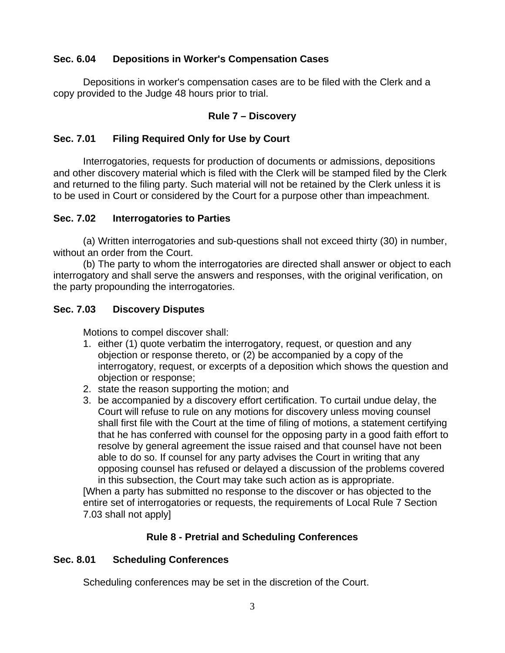# **Sec. 6.04 Depositions in Worker's Compensation Cases**

Depositions in worker's compensation cases are to be filed with the Clerk and a copy provided to the Judge 48 hours prior to trial.

# **Rule 7 – Discovery**

# **Sec. 7.01 Filing Required Only for Use by Court**

Interrogatories, requests for production of documents or admissions, depositions and other discovery material which is filed with the Clerk will be stamped filed by the Clerk and returned to the filing party. Such material will not be retained by the Clerk unless it is to be used in Court or considered by the Court for a purpose other than impeachment.

# **Sec. 7.02 Interrogatories to Parties**

(a) Written interrogatories and sub-questions shall not exceed thirty (30) in number, without an order from the Court.

(b) The party to whom the interrogatories are directed shall answer or object to each interrogatory and shall serve the answers and responses, with the original verification, on the party propounding the interrogatories.

# **Sec. 7.03 Discovery Disputes**

Motions to compel discover shall:

- 1. either (1) quote verbatim the interrogatory, request, or question and any objection or response thereto, or (2) be accompanied by a copy of the interrogatory, request, or excerpts of a deposition which shows the question and objection or response;
- 2. state the reason supporting the motion; and
- 3. be accompanied by a discovery effort certification. To curtail undue delay, the Court will refuse to rule on any motions for discovery unless moving counsel shall first file with the Court at the time of filing of motions, a statement certifying that he has conferred with counsel for the opposing party in a good faith effort to resolve by general agreement the issue raised and that counsel have not been able to do so. If counsel for any party advises the Court in writing that any opposing counsel has refused or delayed a discussion of the problems covered in this subsection, the Court may take such action as is appropriate.

[When a party has submitted no response to the discover or has objected to the entire set of interrogatories or requests, the requirements of Local Rule 7 Section 7.03 shall not apply]

# **Rule 8 - Pretrial and Scheduling Conferences**

# **Sec. 8.01 Scheduling Conferences**

Scheduling conferences may be set in the discretion of the Court.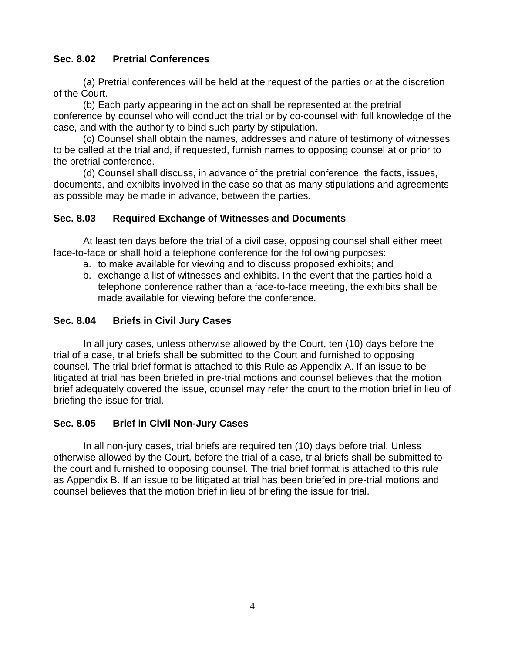# **Sec. 8.02 Pretrial Conferences**

(a) Pretrial conferences will be held at the request of the parties or at the discretion of the Court.

(b) Each party appearing in the action shall be represented at the pretrial conference by counsel who will conduct the trial or by co-counsel with full knowledge of the case, and with the authority to bind such party by stipulation.

(c) Counsel shall obtain the names, addresses and nature of testimony of witnesses to be called at the trial and, if requested, furnish names to opposing counsel at or prior to the pretrial conference.

(d) Counsel shall discuss, in advance of the pretrial conference, the facts, issues, documents, and exhibits involved in the case so that as many stipulations and agreements as possible may be made in advance, between the parties.

# **Sec. 8.03 Required Exchange of Witnesses and Documents**

At least ten days before the trial of a civil case, opposing counsel shall either meet face-to-face or shall hold a telephone conference for the following purposes:

- a. to make available for viewing and to discuss proposed exhibits; and
- b. exchange a list of witnesses and exhibits. In the event that the parties hold a telephone conference rather than a face-to-face meeting, the exhibits shall be made available for viewing before the conference.

# **Sec. 8.04 Briefs in Civil Jury Cases**

In all jury cases, unless otherwise allowed by the Court, ten (10) days before the trial of a case, trial briefs shall be submitted to the Court and furnished to opposing counsel. The trial brief format is attached to this Rule as Appendix A. If an issue to be litigated at trial has been briefed in pre-trial motions and counsel believes that the motion brief adequately covered the issue, counsel may refer the court to the motion brief in lieu of briefing the issue for trial.

### **Sec. 8.05 Brief in Civil Non-Jury Cases**

In all non-jury cases, trial briefs are required ten (10) days before trial. Unless otherwise allowed by the Court, before the trial of a case, trial briefs shall be submitted to the court and furnished to opposing counsel. The trial brief format is attached to this rule as Appendix B. If an issue to be litigated at trial has been briefed in pre-trial motions and counsel believes that the motion brief in lieu of briefing the issue for trial.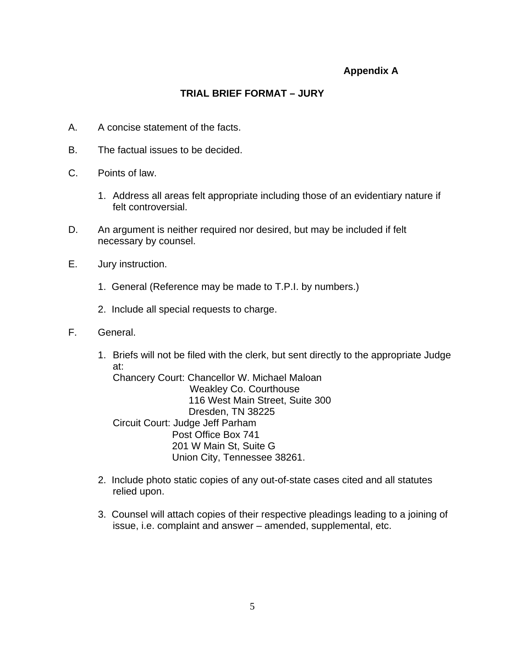# **Appendix A**

# **TRIAL BRIEF FORMAT – JURY**

- A. A concise statement of the facts.
- B. The factual issues to be decided.
- C. Points of law.
	- 1. Address all areas felt appropriate including those of an evidentiary nature if felt controversial.
- D. An argument is neither required nor desired, but may be included if felt necessary by counsel.
- E. Jury instruction.
	- 1. General (Reference may be made to T.P.I. by numbers.)
	- 2. Include all special requests to charge.
- F. General.
	- 1. Briefs will not be filed with the clerk, but sent directly to the appropriate Judge at: Chancery Court: Chancellor W. Michael Maloan Weakley Co. Courthouse 116 West Main Street, Suite 300 Dresden, TN 38225 Circuit Court: Judge Jeff Parham Post Office Box 741 201 W Main St, Suite G Union City, Tennessee 38261.
	- 2. Include photo static copies of any out-of-state cases cited and all statutes relied upon.
	- 3. Counsel will attach copies of their respective pleadings leading to a joining of issue, i.e. complaint and answer – amended, supplemental, etc.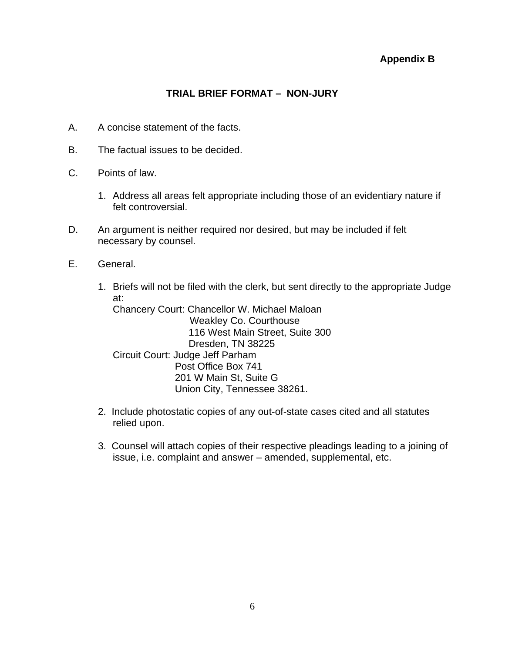# **Appendix B**

### **TRIAL BRIEF FORMAT – NON-JURY**

- A. A concise statement of the facts.
- B. The factual issues to be decided.
- C. Points of law.
	- 1. Address all areas felt appropriate including those of an evidentiary nature if felt controversial.
- D. An argument is neither required nor desired, but may be included if felt necessary by counsel.
- E. General.
	- 1. Briefs will not be filed with the clerk, but sent directly to the appropriate Judge at: Chancery Court: Chancellor W. Michael Maloan

 Weakley Co. Courthouse 116 West Main Street, Suite 300 Dresden, TN 38225 Circuit Court: Judge Jeff Parham Post Office Box 741 201 W Main St, Suite G Union City, Tennessee 38261.

- 2. Include photostatic copies of any out-of-state cases cited and all statutes relied upon.
- 3. Counsel will attach copies of their respective pleadings leading to a joining of issue, i.e. complaint and answer – amended, supplemental, etc.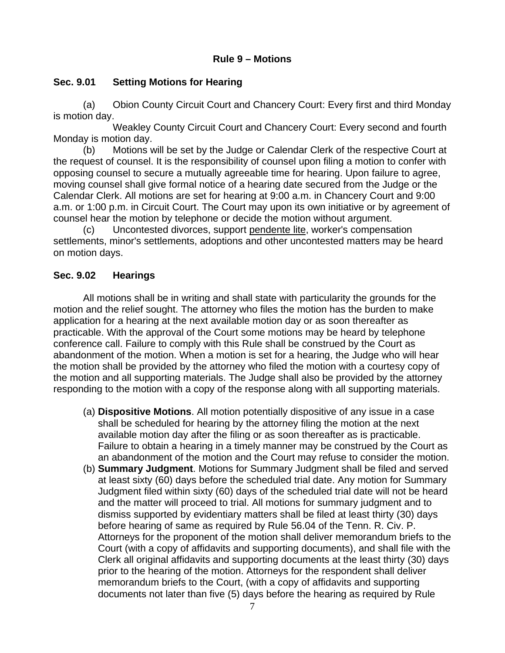# **Rule 9 – Motions**

# **Sec. 9.01 Setting Motions for Hearing**

(a) Obion County Circuit Court and Chancery Court: Every first and third Monday is motion day.

Weakley County Circuit Court and Chancery Court: Every second and fourth Monday is motion day.

(b) Motions will be set by the Judge or Calendar Clerk of the respective Court at the request of counsel. It is the responsibility of counsel upon filing a motion to confer with opposing counsel to secure a mutually agreeable time for hearing. Upon failure to agree, moving counsel shall give formal notice of a hearing date secured from the Judge or the Calendar Clerk. All motions are set for hearing at 9:00 a.m. in Chancery Court and 9:00 a.m. or 1:00 p.m. in Circuit Court. The Court may upon its own initiative or by agreement of counsel hear the motion by telephone or decide the motion without argument.

(c) Uncontested divorces, support pendente lite, worker's compensation settlements, minor's settlements, adoptions and other uncontested matters may be heard on motion days.

# **Sec. 9.02 Hearings**

All motions shall be in writing and shall state with particularity the grounds for the motion and the relief sought. The attorney who files the motion has the burden to make application for a hearing at the next available motion day or as soon thereafter as practicable. With the approval of the Court some motions may be heard by telephone conference call. Failure to comply with this Rule shall be construed by the Court as abandonment of the motion. When a motion is set for a hearing, the Judge who will hear the motion shall be provided by the attorney who filed the motion with a courtesy copy of the motion and all supporting materials. The Judge shall also be provided by the attorney responding to the motion with a copy of the response along with all supporting materials.

- (a) **Dispositive Motions**. All motion potentially dispositive of any issue in a case shall be scheduled for hearing by the attorney filing the motion at the next available motion day after the filing or as soon thereafter as is practicable. Failure to obtain a hearing in a timely manner may be construed by the Court as an abandonment of the motion and the Court may refuse to consider the motion.
- (b) **Summary Judgment**. Motions for Summary Judgment shall be filed and served at least sixty (60) days before the scheduled trial date. Any motion for Summary Judgment filed within sixty (60) days of the scheduled trial date will not be heard and the matter will proceed to trial. All motions for summary judgment and to dismiss supported by evidentiary matters shall be filed at least thirty (30) days before hearing of same as required by Rule 56.04 of the Tenn. R. Civ. P. Attorneys for the proponent of the motion shall deliver memorandum briefs to the Court (with a copy of affidavits and supporting documents), and shall file with the Clerk all original affidavits and supporting documents at the least thirty (30) days prior to the hearing of the motion. Attorneys for the respondent shall deliver memorandum briefs to the Court, (with a copy of affidavits and supporting documents not later than five (5) days before the hearing as required by Rule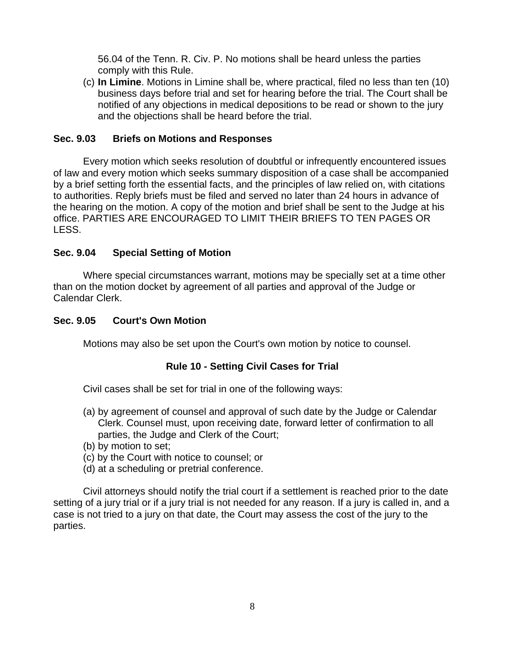56.04 of the Tenn. R. Civ. P. No motions shall be heard unless the parties comply with this Rule.

(c) **In Limine**. Motions in Limine shall be, where practical, filed no less than ten (10) business days before trial and set for hearing before the trial. The Court shall be notified of any objections in medical depositions to be read or shown to the jury and the objections shall be heard before the trial.

# **Sec. 9.03 Briefs on Motions and Responses**

Every motion which seeks resolution of doubtful or infrequently encountered issues of law and every motion which seeks summary disposition of a case shall be accompanied by a brief setting forth the essential facts, and the principles of law relied on, with citations to authorities. Reply briefs must be filed and served no later than 24 hours in advance of the hearing on the motion. A copy of the motion and brief shall be sent to the Judge at his office. PARTIES ARE ENCOURAGED TO LIMIT THEIR BRIEFS TO TEN PAGES OR LESS.

# **Sec. 9.04 Special Setting of Motion**

Where special circumstances warrant, motions may be specially set at a time other than on the motion docket by agreement of all parties and approval of the Judge or Calendar Clerk.

### **Sec. 9.05 Court's Own Motion**

Motions may also be set upon the Court's own motion by notice to counsel.

# **Rule 10 - Setting Civil Cases for Trial**

Civil cases shall be set for trial in one of the following ways:

- (a) by agreement of counsel and approval of such date by the Judge or Calendar Clerk. Counsel must, upon receiving date, forward letter of confirmation to all parties, the Judge and Clerk of the Court;
- (b) by motion to set;
- (c) by the Court with notice to counsel; or
- (d) at a scheduling or pretrial conference.

Civil attorneys should notify the trial court if a settlement is reached prior to the date setting of a jury trial or if a jury trial is not needed for any reason. If a jury is called in, and a case is not tried to a jury on that date, the Court may assess the cost of the jury to the parties.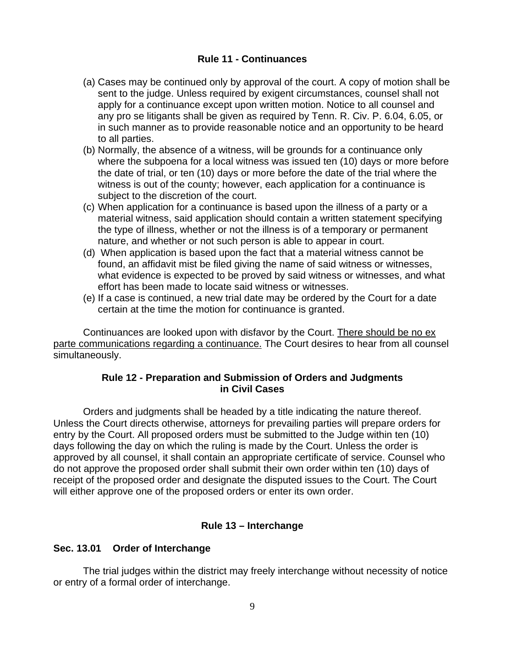# **Rule 11 - Continuances**

- (a) Cases may be continued only by approval of the court. A copy of motion shall be sent to the judge. Unless required by exigent circumstances, counsel shall not apply for a continuance except upon written motion. Notice to all counsel and any pro se litigants shall be given as required by Tenn. R. Civ. P. 6.04, 6.05, or in such manner as to provide reasonable notice and an opportunity to be heard to all parties.
- (b) Normally, the absence of a witness, will be grounds for a continuance only where the subpoena for a local witness was issued ten (10) days or more before the date of trial, or ten (10) days or more before the date of the trial where the witness is out of the county; however, each application for a continuance is subject to the discretion of the court.
- (c) When application for a continuance is based upon the illness of a party or a material witness, said application should contain a written statement specifying the type of illness, whether or not the illness is of a temporary or permanent nature, and whether or not such person is able to appear in court.
- (d) When application is based upon the fact that a material witness cannot be found, an affidavit mist be filed giving the name of said witness or witnesses, what evidence is expected to be proved by said witness or witnesses, and what effort has been made to locate said witness or witnesses.
- (e) If a case is continued, a new trial date may be ordered by the Court for a date certain at the time the motion for continuance is granted.

Continuances are looked upon with disfavor by the Court. There should be no ex parte communications regarding a continuance. The Court desires to hear from all counsel simultaneously.

# **Rule 12 - Preparation and Submission of Orders and Judgments in Civil Cases**

Orders and judgments shall be headed by a title indicating the nature thereof. Unless the Court directs otherwise, attorneys for prevailing parties will prepare orders for entry by the Court. All proposed orders must be submitted to the Judge within ten (10) days following the day on which the ruling is made by the Court. Unless the order is approved by all counsel, it shall contain an appropriate certificate of service. Counsel who do not approve the proposed order shall submit their own order within ten (10) days of receipt of the proposed order and designate the disputed issues to the Court. The Court will either approve one of the proposed orders or enter its own order.

# **Rule 13 – Interchange**

### **Sec. 13.01 Order of Interchange**

The trial judges within the district may freely interchange without necessity of notice or entry of a formal order of interchange.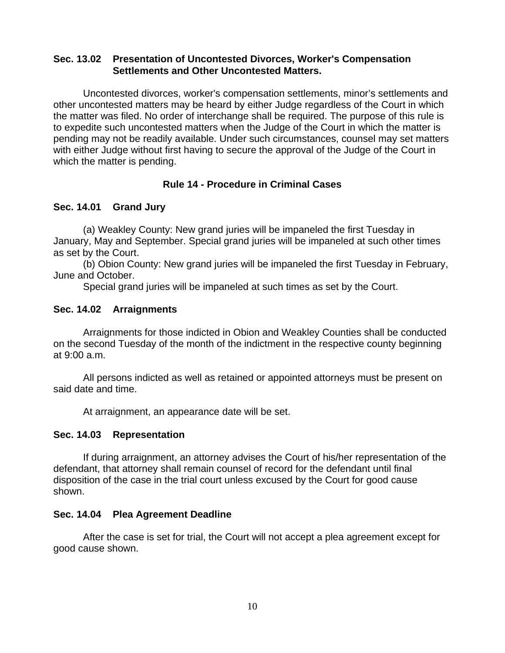### **Sec. 13.02 Presentation of Uncontested Divorces, Worker's Compensation Settlements and Other Uncontested Matters.**

Uncontested divorces, worker's compensation settlements, minor's settlements and other uncontested matters may be heard by either Judge regardless of the Court in which the matter was filed. No order of interchange shall be required. The purpose of this rule is to expedite such uncontested matters when the Judge of the Court in which the matter is pending may not be readily available. Under such circumstances, counsel may set matters with either Judge without first having to secure the approval of the Judge of the Court in which the matter is pending.

# **Rule 14 - Procedure in Criminal Cases**

# **Sec. 14.01 Grand Jury**

(a) Weakley County: New grand juries will be impaneled the first Tuesday in January, May and September. Special grand juries will be impaneled at such other times as set by the Court.

(b) Obion County: New grand juries will be impaneled the first Tuesday in February, June and October.

Special grand juries will be impaneled at such times as set by the Court.

# **Sec. 14.02 Arraignments**

Arraignments for those indicted in Obion and Weakley Counties shall be conducted on the second Tuesday of the month of the indictment in the respective county beginning at 9:00 a.m.

All persons indicted as well as retained or appointed attorneys must be present on said date and time.

At arraignment, an appearance date will be set.

# **Sec. 14.03 Representation**

If during arraignment, an attorney advises the Court of his/her representation of the defendant, that attorney shall remain counsel of record for the defendant until final disposition of the case in the trial court unless excused by the Court for good cause shown.

### **Sec. 14.04 Plea Agreement Deadline**

After the case is set for trial, the Court will not accept a plea agreement except for good cause shown.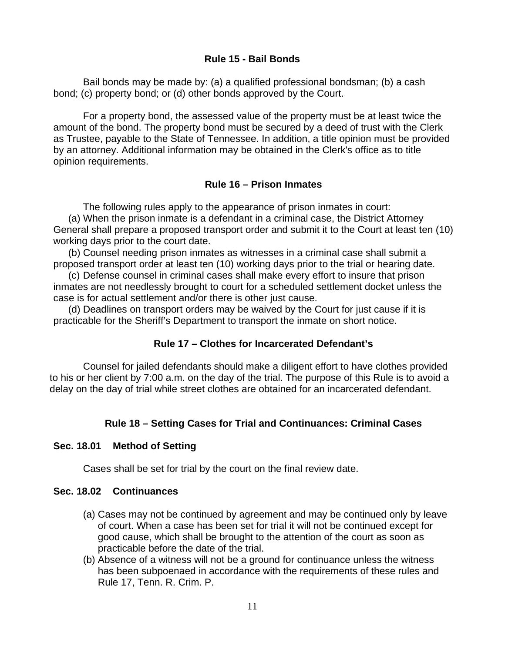# **Rule 15 - Bail Bonds**

Bail bonds may be made by: (a) a qualified professional bondsman; (b) a cash bond; (c) property bond; or (d) other bonds approved by the Court.

For a property bond, the assessed value of the property must be at least twice the amount of the bond. The property bond must be secured by a deed of trust with the Clerk as Trustee, payable to the State of Tennessee. In addition, a title opinion must be provided by an attorney. Additional information may be obtained in the Clerk's office as to title opinion requirements.

#### **Rule 16 – Prison Inmates**

The following rules apply to the appearance of prison inmates in court:

(a) When the prison inmate is a defendant in a criminal case, the District Attorney General shall prepare a proposed transport order and submit it to the Court at least ten (10) working days prior to the court date.

(b) Counsel needing prison inmates as witnesses in a criminal case shall submit a proposed transport order at least ten (10) working days prior to the trial or hearing date.

(c) Defense counsel in criminal cases shall make every effort to insure that prison inmates are not needlessly brought to court for a scheduled settlement docket unless the case is for actual settlement and/or there is other just cause.

(d) Deadlines on transport orders may be waived by the Court for just cause if it is practicable for the Sheriff's Department to transport the inmate on short notice.

### **Rule 17 – Clothes for Incarcerated Defendant's**

Counsel for jailed defendants should make a diligent effort to have clothes provided to his or her client by 7:00 a.m. on the day of the trial. The purpose of this Rule is to avoid a delay on the day of trial while street clothes are obtained for an incarcerated defendant.

### **Rule 18 – Setting Cases for Trial and Continuances: Criminal Cases**

#### **Sec. 18.01 Method of Setting**

Cases shall be set for trial by the court on the final review date.

#### **Sec. 18.02 Continuances**

- (a) Cases may not be continued by agreement and may be continued only by leave of court. When a case has been set for trial it will not be continued except for good cause, which shall be brought to the attention of the court as soon as practicable before the date of the trial.
- (b) Absence of a witness will not be a ground for continuance unless the witness has been subpoenaed in accordance with the requirements of these rules and Rule 17, Tenn. R. Crim. P.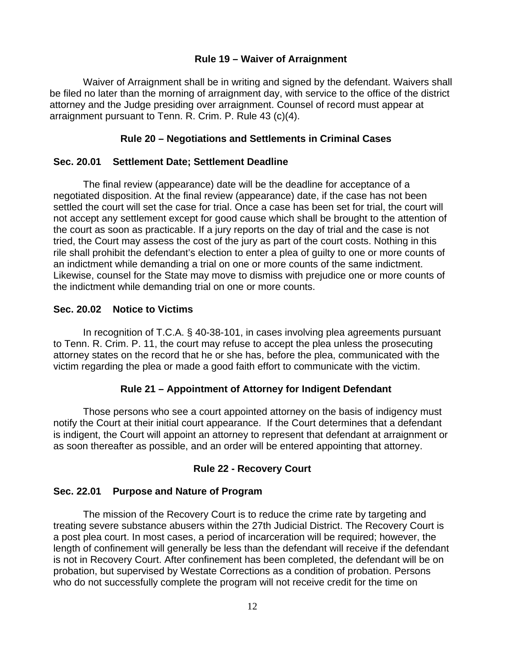## **Rule 19 – Waiver of Arraignment**

Waiver of Arraignment shall be in writing and signed by the defendant. Waivers shall be filed no later than the morning of arraignment day, with service to the office of the district attorney and the Judge presiding over arraignment. Counsel of record must appear at arraignment pursuant to Tenn. R. Crim. P. Rule 43 (c)(4).

# **Rule 20 – Negotiations and Settlements in Criminal Cases**

### **Sec. 20.01 Settlement Date; Settlement Deadline**

The final review (appearance) date will be the deadline for acceptance of a negotiated disposition. At the final review (appearance) date, if the case has not been settled the court will set the case for trial. Once a case has been set for trial, the court will not accept any settlement except for good cause which shall be brought to the attention of the court as soon as practicable. If a jury reports on the day of trial and the case is not tried, the Court may assess the cost of the jury as part of the court costs. Nothing in this rile shall prohibit the defendant's election to enter a plea of guilty to one or more counts of an indictment while demanding a trial on one or more counts of the same indictment. Likewise, counsel for the State may move to dismiss with prejudice one or more counts of the indictment while demanding trial on one or more counts.

# **Sec. 20.02 Notice to Victims**

In recognition of T.C.A. § 40-38-101, in cases involving plea agreements pursuant to Tenn. R. Crim. P. 11, the court may refuse to accept the plea unless the prosecuting attorney states on the record that he or she has, before the plea, communicated with the victim regarding the plea or made a good faith effort to communicate with the victim.

# **Rule 21 – Appointment of Attorney for Indigent Defendant**

Those persons who see a court appointed attorney on the basis of indigency must notify the Court at their initial court appearance. If the Court determines that a defendant is indigent, the Court will appoint an attorney to represent that defendant at arraignment or as soon thereafter as possible, and an order will be entered appointing that attorney.

# **Rule 22 - Recovery Court**

### **Sec. 22.01 Purpose and Nature of Program**

The mission of the Recovery Court is to reduce the crime rate by targeting and treating severe substance abusers within the 27th Judicial District. The Recovery Court is a post plea court. In most cases, a period of incarceration will be required; however, the length of confinement will generally be less than the defendant will receive if the defendant is not in Recovery Court. After confinement has been completed, the defendant will be on probation, but supervised by Westate Corrections as a condition of probation. Persons who do not successfully complete the program will not receive credit for the time on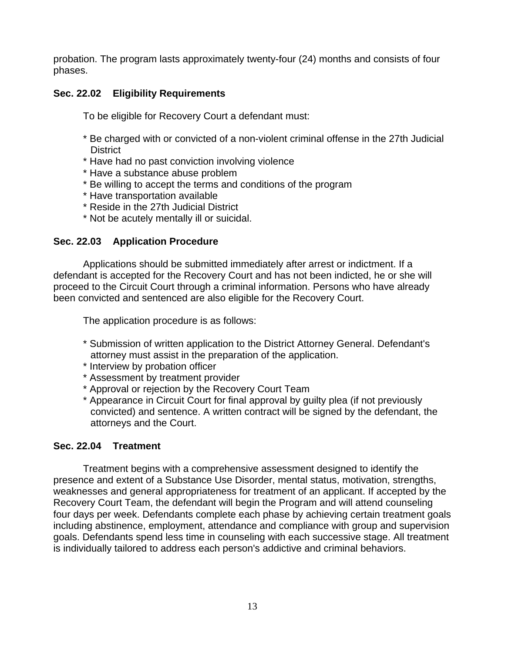probation. The program lasts approximately twenty-four (24) months and consists of four phases.

# **Sec. 22.02 Eligibility Requirements**

To be eligible for Recovery Court a defendant must:

- \* Be charged with or convicted of a non-violent criminal offense in the 27th Judicial **District**
- \* Have had no past conviction involving violence
- \* Have a substance abuse problem
- \* Be willing to accept the terms and conditions of the program
- \* Have transportation available
- \* Reside in the 27th Judicial District
- \* Not be acutely mentally ill or suicidal.

# **Sec. 22.03 Application Procedure**

Applications should be submitted immediately after arrest or indictment. If a defendant is accepted for the Recovery Court and has not been indicted, he or she will proceed to the Circuit Court through a criminal information. Persons who have already been convicted and sentenced are also eligible for the Recovery Court.

The application procedure is as follows:

- \* Submission of written application to the District Attorney General. Defendant's attorney must assist in the preparation of the application.
- \* Interview by probation officer
- \* Assessment by treatment provider
- \* Approval or rejection by the Recovery Court Team
- \* Appearance in Circuit Court for final approval by guilty plea (if not previously convicted) and sentence. A written contract will be signed by the defendant, the attorneys and the Court.

# **Sec. 22.04 Treatment**

Treatment begins with a comprehensive assessment designed to identify the presence and extent of a Substance Use Disorder, mental status, motivation, strengths, weaknesses and general appropriateness for treatment of an applicant. If accepted by the Recovery Court Team, the defendant will begin the Program and will attend counseling four days per week. Defendants complete each phase by achieving certain treatment goals including abstinence, employment, attendance and compliance with group and supervision goals. Defendants spend less time in counseling with each successive stage. All treatment is individually tailored to address each person's addictive and criminal behaviors.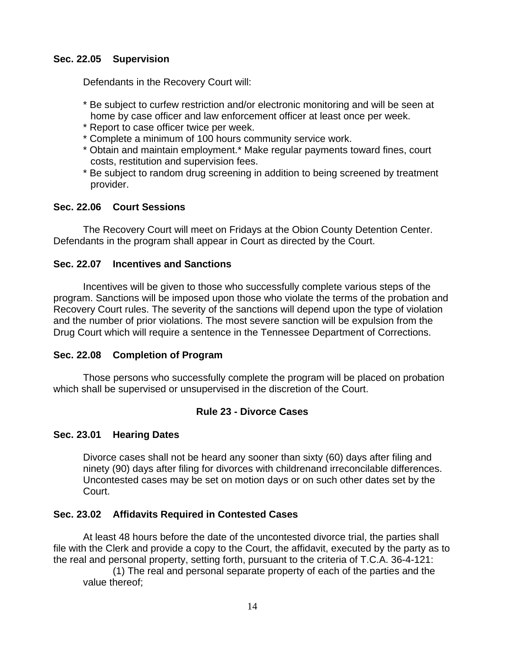# **Sec. 22.05 Supervision**

Defendants in the Recovery Court will:

- \* Be subject to curfew restriction and/or electronic monitoring and will be seen at home by case officer and law enforcement officer at least once per week.
- \* Report to case officer twice per week.
- \* Complete a minimum of 100 hours community service work.
- \* Obtain and maintain employment.\* Make regular payments toward fines, court costs, restitution and supervision fees.
- Be subject to random drug screening in addition to being screened by treatment provider.

#### **Sec. 22.06 Court Sessions**

The Recovery Court will meet on Fridays at the Obion County Detention Center. Defendants in the program shall appear in Court as directed by the Court.

#### **Sec. 22.07 Incentives and Sanctions**

Incentives will be given to those who successfully complete various steps of the program. Sanctions will be imposed upon those who violate the terms of the probation and Recovery Court rules. The severity of the sanctions will depend upon the type of violation and the number of prior violations. The most severe sanction will be expulsion from the Drug Court which will require a sentence in the Tennessee Department of Corrections.

#### **Sec. 22.08 Completion of Program**

Those persons who successfully complete the program will be placed on probation which shall be supervised or unsupervised in the discretion of the Court.

### **Rule 23 - Divorce Cases**

### **Sec. 23.01 Hearing Dates**

Divorce cases shall not be heard any sooner than sixty (60) days after filing and ninety (90) days after filing for divorces with childrenand irreconcilable differences. Uncontested cases may be set on motion days or on such other dates set by the Court.

### **Sec. 23.02 Affidavits Required in Contested Cases**

At least 48 hours before the date of the uncontested divorce trial, the parties shall file with the Clerk and provide a copy to the Court, the affidavit, executed by the party as to the real and personal property, setting forth, pursuant to the criteria of T.C.A. 36-4-121:

(1) The real and personal separate property of each of the parties and the value thereof;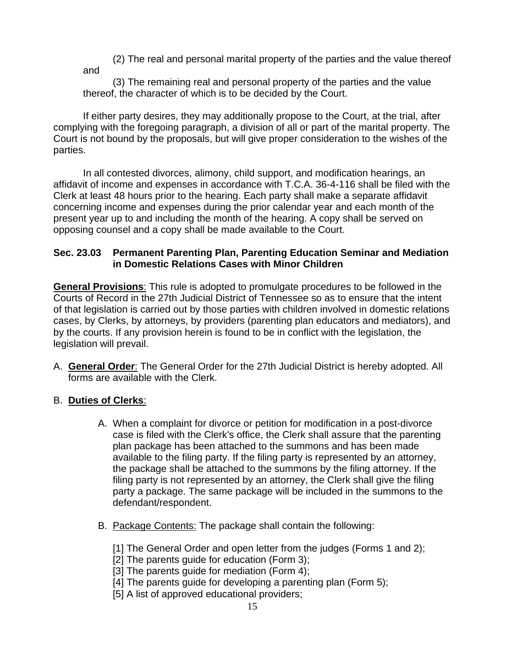(2) The real and personal marital property of the parties and the value thereof and

(3) The remaining real and personal property of the parties and the value thereof, the character of which is to be decided by the Court.

If either party desires, they may additionally propose to the Court, at the trial, after complying with the foregoing paragraph, a division of all or part of the marital property. The Court is not bound by the proposals, but will give proper consideration to the wishes of the parties.

In all contested divorces, alimony, child support, and modification hearings, an affidavit of income and expenses in accordance with T.C.A. 36-4-116 shall be filed with the Clerk at least 48 hours prior to the hearing. Each party shall make a separate affidavit concerning income and expenses during the prior calendar year and each month of the present year up to and including the month of the hearing. A copy shall be served on opposing counsel and a copy shall be made available to the Court.

# **Sec. 23.03 Permanent Parenting Plan, Parenting Education Seminar and Mediation in Domestic Relations Cases with Minor Children**

**General Provisions**: This rule is adopted to promulgate procedures to be followed in the Courts of Record in the 27th Judicial District of Tennessee so as to ensure that the intent of that legislation is carried out by those parties with children involved in domestic relations cases, by Clerks, by attorneys, by providers (parenting plan educators and mediators), and by the courts. If any provision herein is found to be in conflict with the legislation, the legislation will prevail.

A. **General Order**: The General Order for the 27th Judicial District is hereby adopted. All forms are available with the Clerk.

# B. **Duties of Clerks**:

- A. When a complaint for divorce or petition for modification in a post-divorce case is filed with the Clerk's office, the Clerk shall assure that the parenting plan package has been attached to the summons and has been made available to the filing party. If the filing party is represented by an attorney, the package shall be attached to the summons by the filing attorney. If the filing party is not represented by an attorney, the Clerk shall give the filing party a package. The same package will be included in the summons to the defendant/respondent.
- B. Package Contents: The package shall contain the following:
	- [1] The General Order and open letter from the judges (Forms 1 and 2);
	- [2] The parents guide for education (Form 3);
	- [3] The parents guide for mediation (Form 4);
	- [4] The parents guide for developing a parenting plan (Form 5);
	- [5] A list of approved educational providers;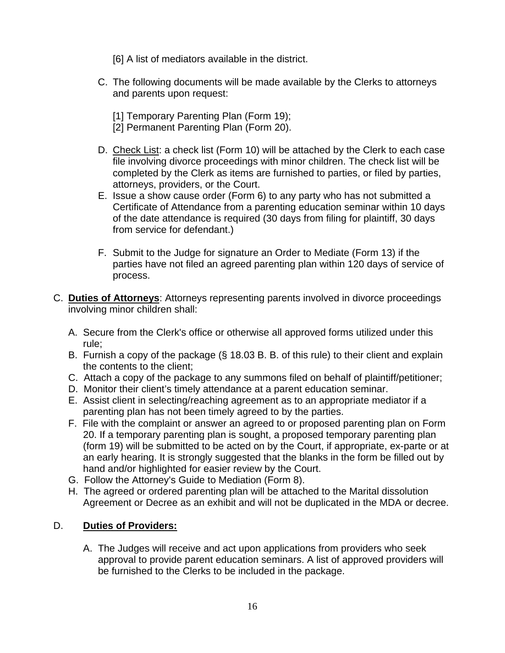[6] A list of mediators available in the district.

- C. The following documents will be made available by the Clerks to attorneys and parents upon request:
	- [1] Temporary Parenting Plan (Form 19); [2] Permanent Parenting Plan (Form 20).
- D. Check List: a check list (Form 10) will be attached by the Clerk to each case
- file involving divorce proceedings with minor children. The check list will be completed by the Clerk as items are furnished to parties, or filed by parties, attorneys, providers, or the Court.
- E. Issue a show cause order (Form 6) to any party who has not submitted a Certificate of Attendance from a parenting education seminar within 10 days of the date attendance is required (30 days from filing for plaintiff, 30 days from service for defendant.)
- F. Submit to the Judge for signature an Order to Mediate (Form 13) if the parties have not filed an agreed parenting plan within 120 days of service of process.
- C. **Duties of Attorneys**: Attorneys representing parents involved in divorce proceedings involving minor children shall:
	- A. Secure from the Clerk's office or otherwise all approved forms utilized under this rule;
	- B. Furnish a copy of the package (§ 18.03 B. B. of this rule) to their client and explain the contents to the client;
	- C. Attach a copy of the package to any summons filed on behalf of plaintiff/petitioner;
	- D. Monitor their client's timely attendance at a parent education seminar.
	- E. Assist client in selecting/reaching agreement as to an appropriate mediator if a parenting plan has not been timely agreed to by the parties.
	- F. File with the complaint or answer an agreed to or proposed parenting plan on Form 20. If a temporary parenting plan is sought, a proposed temporary parenting plan (form 19) will be submitted to be acted on by the Court, if appropriate, ex-parte or at an early hearing. It is strongly suggested that the blanks in the form be filled out by hand and/or highlighted for easier review by the Court.
	- G. Follow the Attorney's Guide to Mediation (Form 8).
	- H. The agreed or ordered parenting plan will be attached to the Marital dissolution Agreement or Decree as an exhibit and will not be duplicated in the MDA or decree.

# D. **Duties of Providers:**

A. The Judges will receive and act upon applications from providers who seek approval to provide parent education seminars. A list of approved providers will be furnished to the Clerks to be included in the package.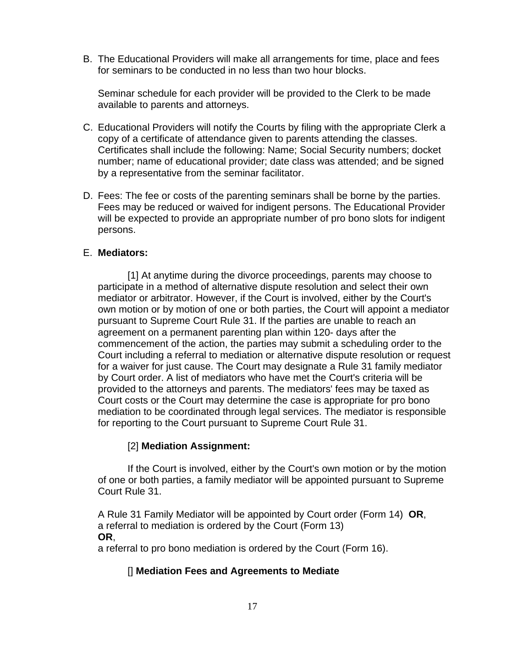B. The Educational Providers will make all arrangements for time, place and fees for seminars to be conducted in no less than two hour blocks.

Seminar schedule for each provider will be provided to the Clerk to be made available to parents and attorneys.

- C. Educational Providers will notify the Courts by filing with the appropriate Clerk a copy of a certificate of attendance given to parents attending the classes. Certificates shall include the following: Name; Social Security numbers; docket number; name of educational provider; date class was attended; and be signed by a representative from the seminar facilitator.
- D. Fees: The fee or costs of the parenting seminars shall be borne by the parties. Fees may be reduced or waived for indigent persons. The Educational Provider will be expected to provide an appropriate number of pro bono slots for indigent persons.

# E. **Mediators:**

[1] At anytime during the divorce proceedings, parents may choose to participate in a method of alternative dispute resolution and select their own mediator or arbitrator. However, if the Court is involved, either by the Court's own motion or by motion of one or both parties, the Court will appoint a mediator pursuant to Supreme Court Rule 31. If the parties are unable to reach an agreement on a permanent parenting plan within 120- days after the commencement of the action, the parties may submit a scheduling order to the Court including a referral to mediation or alternative dispute resolution or request for a waiver for just cause. The Court may designate a Rule 31 family mediator by Court order. A list of mediators who have met the Court's criteria will be provided to the attorneys and parents. The mediators' fees may be taxed as Court costs or the Court may determine the case is appropriate for pro bono mediation to be coordinated through legal services. The mediator is responsible for reporting to the Court pursuant to Supreme Court Rule 31.

# [2] **Mediation Assignment:**

If the Court is involved, either by the Court's own motion or by the motion of one or both parties, a family mediator will be appointed pursuant to Supreme Court Rule 31.

A Rule 31 Family Mediator will be appointed by Court order (Form 14) **OR**, a referral to mediation is ordered by the Court (Form 13) **OR**,

a referral to pro bono mediation is ordered by the Court (Form 16).

# [] **Mediation Fees and Agreements to Mediate**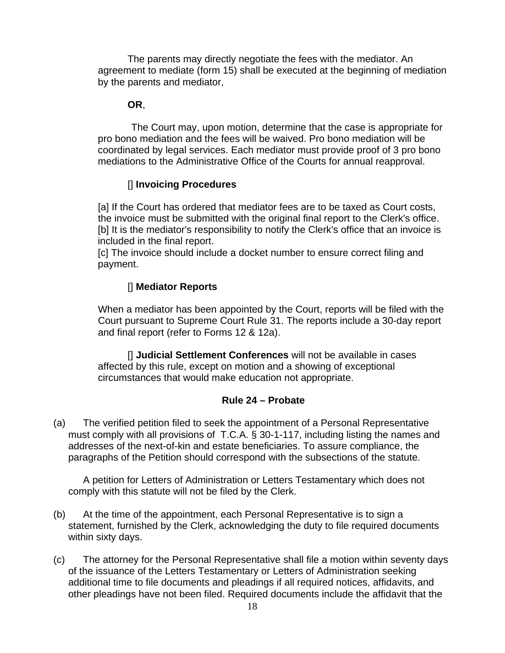The parents may directly negotiate the fees with the mediator. An agreement to mediate (form 15) shall be executed at the beginning of mediation by the parents and mediator,

# **OR**,

The Court may, upon motion, determine that the case is appropriate for pro bono mediation and the fees will be waived. Pro bono mediation will be coordinated by legal services. Each mediator must provide proof of 3 pro bono mediations to the Administrative Office of the Courts for annual reapproval.

# [] **Invoicing Procedures**

[a] If the Court has ordered that mediator fees are to be taxed as Court costs, the invoice must be submitted with the original final report to the Clerk's office. [b] It is the mediator's responsibility to notify the Clerk's office that an invoice is included in the final report.

[c] The invoice should include a docket number to ensure correct filing and payment.

### [] **Mediator Reports**

When a mediator has been appointed by the Court, reports will be filed with the Court pursuant to Supreme Court Rule 31. The reports include a 30-day report and final report (refer to Forms 12 & 12a).

[] **Judicial Settlement Conferences** will not be available in cases affected by this rule, except on motion and a showing of exceptional circumstances that would make education not appropriate.

### **Rule 24 – Probate**

(a) The verified petition filed to seek the appointment of a Personal Representative must comply with all provisions of T.C.A. § 30-1-117, including listing the names and addresses of the next-of-kin and estate beneficiaries. To assure compliance, the paragraphs of the Petition should correspond with the subsections of the statute.

A petition for Letters of Administration or Letters Testamentary which does not comply with this statute will not be filed by the Clerk.

- (b) At the time of the appointment, each Personal Representative is to sign a statement, furnished by the Clerk, acknowledging the duty to file required documents within sixty days.
- (c) The attorney for the Personal Representative shall file a motion within seventy days of the issuance of the Letters Testamentary or Letters of Administration seeking additional time to file documents and pleadings if all required notices, affidavits, and other pleadings have not been filed. Required documents include the affidavit that the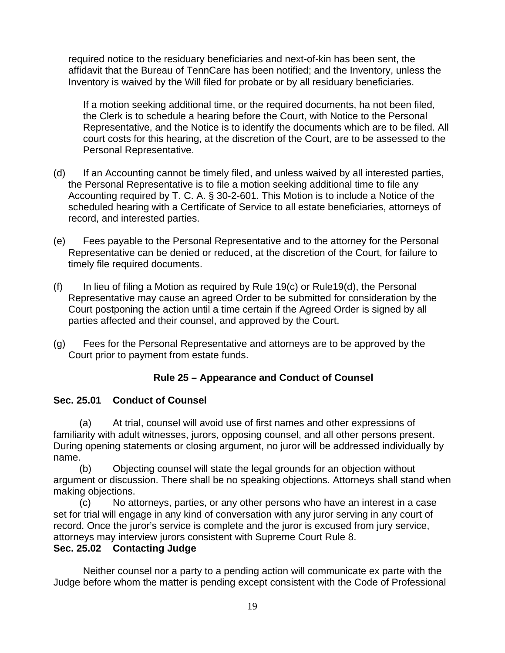required notice to the residuary beneficiaries and next-of-kin has been sent, the affidavit that the Bureau of TennCare has been notified; and the Inventory, unless the Inventory is waived by the Will filed for probate or by all residuary beneficiaries.

If a motion seeking additional time, or the required documents, ha not been filed, the Clerk is to schedule a hearing before the Court, with Notice to the Personal Representative, and the Notice is to identify the documents which are to be filed. All court costs for this hearing, at the discretion of the Court, are to be assessed to the Personal Representative.

- (d) If an Accounting cannot be timely filed, and unless waived by all interested parties, the Personal Representative is to file a motion seeking additional time to file any Accounting required by T. C. A. § 30-2-601. This Motion is to include a Notice of the scheduled hearing with a Certificate of Service to all estate beneficiaries, attorneys of record, and interested parties.
- (e) Fees payable to the Personal Representative and to the attorney for the Personal Representative can be denied or reduced, at the discretion of the Court, for failure to timely file required documents.
- (f) In lieu of filing a Motion as required by Rule 19(c) or Rule 19(d), the Personal Representative may cause an agreed Order to be submitted for consideration by the Court postponing the action until a time certain if the Agreed Order is signed by all parties affected and their counsel, and approved by the Court.
- (g) Fees for the Personal Representative and attorneys are to be approved by the Court prior to payment from estate funds.

# **Rule 25 – Appearance and Conduct of Counsel**

# **Sec. 25.01 Conduct of Counsel**

(a) At trial, counsel will avoid use of first names and other expressions of familiarity with adult witnesses, jurors, opposing counsel, and all other persons present. During opening statements or closing argument, no juror will be addressed individually by name.

(b) Objecting counsel will state the legal grounds for an objection without argument or discussion. There shall be no speaking objections. Attorneys shall stand when making objections.

(c) No attorneys, parties, or any other persons who have an interest in a case set for trial will engage in any kind of conversation with any juror serving in any court of record. Once the juror's service is complete and the juror is excused from jury service, attorneys may interview jurors consistent with Supreme Court Rule 8.

### **Sec. 25.02 Contacting Judge**

Neither counsel nor a party to a pending action will communicate ex parte with the Judge before whom the matter is pending except consistent with the Code of Professional